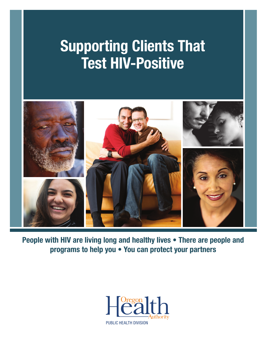# **Supporting Clients That Test HIV-Positive**



**People with HIV are living long and healthy lives • There are people and programs to help you • You can protect your partners**

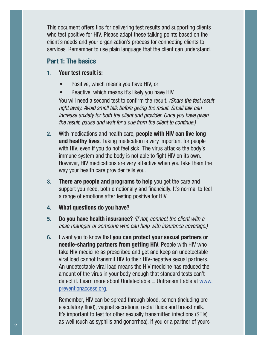This document offers tips for delivering test results and supporting clients who test positive for HIV. Please adapt these talking points based on the client's needs and your organization's process for connecting clients to services. Remember to use plain language that the client can understand.

### **Part 1: The basics**

- **1. Your test result is:**
	- Positive, which means you have HIV, or
	- Reactive, which means it's likely you have HIV.

You will need a second test to confirm the result. (Share the test result right away. Avoid small talk before giving the result. Small talk can increase anxiety for both the client and provider. Once you have given the result, pause and wait for a cue from the client to continue.)

- **2.** With medications and health care, **people with HIV can live long and healthy lives**. Taking medication is very important for people with HIV, even if you do not feel sick. The virus attacks the body's immune system and the body is not able to fight HIV on its own. However, HIV medications are very effective when you take them the way your health care provider tells you.
- **3. There are people and programs to help** you get the care and support you need, both emotionally and financially. It's normal to feel a range of emotions after testing positive for HIV.
- **4. What questions do you have?**
- **5. Do you have health insurance?** (If not, connect the client with a case manager or someone who can help with insurance coverage.)
- **6.** I want you to know that **you can protect your sexual partners or needle-sharing partners from getting HIV**. People with HIV who take HIV medicine as prescribed and get and keep an undetectable viral load cannot transmit HIV to their HIV-negative sexual partners. An undetectable viral load means the HIV medicine has reduced the amount of the virus in your body enough that standard tests can't  $\theta$  detect it. Learn more about Undetectable = Untransmittable at www. preventionaccess.org.

Remember, HIV can be spread through blood, semen (including preejaculatory fluid), vaginal secretions, rectal fluids and breast milk. It's important to test for other sexually transmitted infections (STIs) as well (such as syphilis and gonorrhea). If you or a partner of yours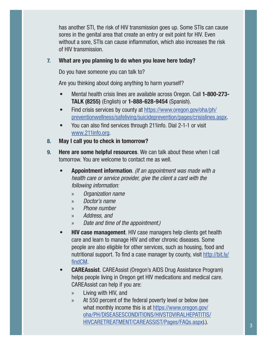has another STI, the risk of HIV transmission goes up. Some STIs can cause sores in the genital area that create an entry or exit point for HIV. Even without a sore, STIs can cause inflammation, which also increases the risk of HIV transmission.

#### **7. What are you planning to do when you leave here today?**

Do you have someone you can talk to?

Are you thinking about doing anything to harm yourself?

- Mental health crisis lines are available across Oregon. Call **1-800-273- TALK (8255)** (English) or **1-888-628-9454** (Spanish).
- Find crisis services by county at https://www.oregon.gov/oha/ph/ preventionwellness/safeliving/suicideprevention/pages/crisislines.aspx.
- You can also find services through 211info. Dial 2-1-1 or visit www.211info.org.
- **8. May I call you to check in tomorrow?**
- **9. Here are some helpful resources**. We can talk about these when I call tomorrow. You are welcome to contact me as well.
	- **Appointment information**. (If an appointment was made with a health care or service provider, give the client a card with the following information:
		- » Organization name
		- » Doctor's name
		- » Phone number
		- » Address, and
		- » Date and time of the appointment.)
	- **HIV case management**. HIV case managers help clients get health care and learn to manage HIV and other chronic diseases. Some people are also eligible for other services, such as housing, food and nutritional support. To find a case manager by county, visit http://bit.ly/ findCM.
	- **CAREAssist**. CAREAssist (Oregon's AIDS Drug Assistance Program) helps people living in Oregon get HIV medications and medical care. CAREAssist can help if you are:
		- » Living with HIV, and
		- » At 550 percent of the federal poverty level or below (see what monthly income this is at https://www.oregon.gov/ oha/PH/DISEASESCONDITIONS/HIVSTDVIRALHEPATITIS/ HIVCARETREATMENT/CAREASSIST/Pages/FAQs.aspx).).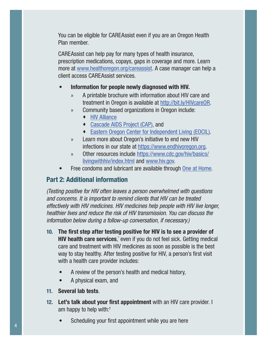You can be eligible for CAREAssist even if you are an Oregon Health Plan member.

CAREAssist can help pay for many types of health insurance, prescription medications, copays, gaps in coverage and more. Learn more at www.healthoregon.org/careassist. A case manager can help a client access CAREAssist services.

#### **• Information for people newly diagnosed with HIV.**

- » A printable brochure with information about HIV care and treatment in Oregon is available at http://bit.ly/HIVcareOR.
- » Community based organizations in Oregon include:
	- ◆ HIV Alliance
	- Cascade AIDS Project (CAP), and
	- Eastern Oregon Center for Independent Living (EOCIL).
- » Learn more about Oregon's initiative to end new HIV infections in our state at https://www.endhivoregon.org.
- » Other resources include https://www.cdc.gov/hiv/basics/ livingwithhiv/index.html and www.hiv.gov.
- Free condoms and lubricant are available through One at Home.

## **Part 2: Additional information**

(Testing positive for HIV often leaves a person overwhelmed with questions and concerns. It is important to remind clients that HIV can be treated effectively with HIV medicines. HIV medicines help people with HIV live longer, healthier lives and reduce the risk of HIV transmission. You can discuss the information below during a follow-up conversation, if necessary.)

- **10. The first step after testing positive for HIV is to see a provider of HIV health care services**,<sup>\*</sup> even if you do not feel sick. Getting medical care and treatment with HIV medicines as soon as possible is the best way to stay healthy. After testing positive for HIV, a person's first visit with a health care provider includes:
	- A review of the person's health and medical history,
	- A physical exam, and
- **11. Several lab tests**.
- **12. Let's talk about your first appointment** with an HIV care provider. I am happy to help with:†
	- Scheduling your first appointment while you are here